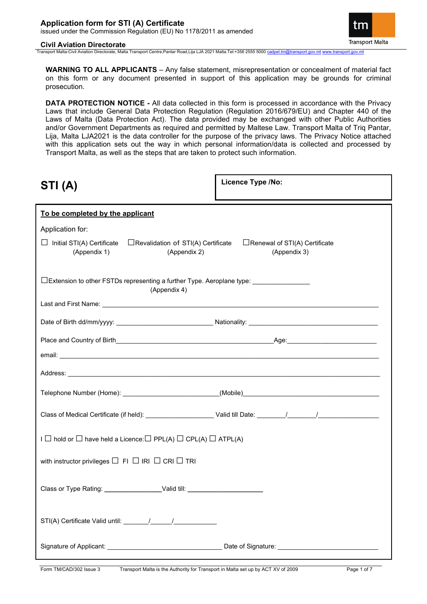#### **Civil Aviation Directorate**

**Transport Malta** 

Transport Malta-Civil Aviation Directorate, Malta Transport Centre,Pantar Road,Lija LJA 2021 Malta.Tel:+356 2555 5000 cad

**WARNING TO ALL APPLICANTS** – Any false statement, misrepresentation or concealment of material fact on this form or any document presented in support of this application may be grounds for criminal prosecution.

**DATA PROTECTION NOTICE -** All data collected in this form is processed in accordance with the Privacy Laws that include General Data Protection Regulation (Regulation 2016/679/EU) and Chapter 440 of the Laws of Malta (Data Protection Act). The data provided may be exchanged with other Public Authorities and/or Government Departments as required and permitted by Maltese Law. Transport Malta of Triq Pantar, Lija, Malta LJA2021 is the data controller for the purpose of the privacy laws. The Privacy Notice attached with this application sets out the way in which personal information/data is collected and processed by Transport Malta, as well as the steps that are taken to protect such information.

| STI(A)                                                                                                                                           | Licence Type /No: |
|--------------------------------------------------------------------------------------------------------------------------------------------------|-------------------|
| To be completed by the applicant                                                                                                                 |                   |
| Application for:                                                                                                                                 |                   |
| $\Box$ Initial STI(A) Certificate $\Box$ Revalidation of STI(A) Certificate $\Box$ Renewal of STI(A) Certificate<br>(Appendix 1)<br>(Appendix 2) | (Appendix 3)      |
| $\square$ Extension to other FSTDs representing a further Type. Aeroplane type: _____________<br>(Appendix 4)                                    |                   |
|                                                                                                                                                  |                   |
|                                                                                                                                                  |                   |
|                                                                                                                                                  |                   |
|                                                                                                                                                  |                   |
|                                                                                                                                                  |                   |
|                                                                                                                                                  |                   |
|                                                                                                                                                  |                   |
| $I \square$ hold or $\square$ have held a Licence: $\square$ PPL(A) $\square$ CPL(A) $\square$ ATPL(A)                                           |                   |
| with instructor privileges $\Box$ FI $\Box$ IRI $\Box$ CRI $\Box$ TRI                                                                            |                   |
| Class or Type Rating: _______________________Valid till: _______________________                                                                 |                   |
|                                                                                                                                                  |                   |
|                                                                                                                                                  |                   |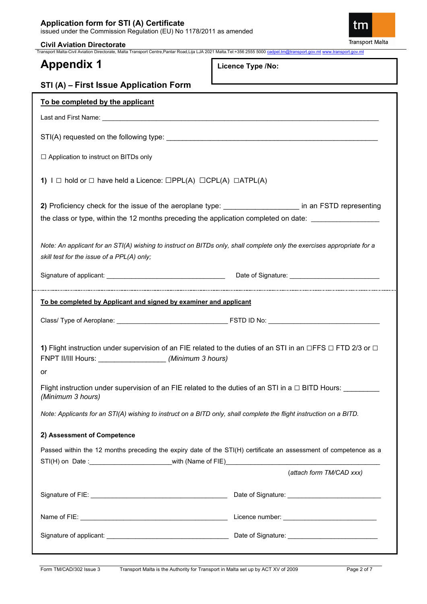**Civil Aviation Directorate** Transport Malta-Civil Aviation Directorate, Malta Transport Centre,Pantar Road,Lija LJA 2021 Malta.Tel:+356 2555 5000 [cadpel.tm@transport.gov.mt](mailto:cadpel.tm@transport.gov.mt) [www.transport.gov.mt](http://www.transport.gov.mt/)

# **Appendix 1**

**Licence Type /No:** 

| STI (A) - First Issue Application Form                                                                                                                                                                          |                          |  |
|-----------------------------------------------------------------------------------------------------------------------------------------------------------------------------------------------------------------|--------------------------|--|
| To be completed by the applicant                                                                                                                                                                                |                          |  |
|                                                                                                                                                                                                                 |                          |  |
|                                                                                                                                                                                                                 |                          |  |
| □ Application to instruct on BITDs only                                                                                                                                                                         |                          |  |
| 1) $I \square$ hold or $\square$ have held a Licence: $\square PPL(A) \square CPL(A) \square ATPL(A)$                                                                                                           |                          |  |
| 2) Proficiency check for the issue of the aeroplane type: _____________________ in an FSTD representing<br>the class or type, within the 12 months preceding the application completed on date: _______________ |                          |  |
| Note: An applicant for an STI(A) wishing to instruct on BITDs only, shall complete only the exercises appropriate for a<br>skill test for the issue of a PPL(A) only;                                           |                          |  |
|                                                                                                                                                                                                                 |                          |  |
| To be completed by Applicant and signed by examiner and applicant                                                                                                                                               |                          |  |
|                                                                                                                                                                                                                 |                          |  |
| 1) Flight instruction under supervision of an FIE related to the duties of an STI in an $\Box$ FFS $\Box$ FTD 2/3 or $\Box$                                                                                     |                          |  |
| or<br>Flight instruction under supervision of an FIE related to the duties of an STI in a $\Box$ BITD Hours: ________<br>(Minimum 3 hours)                                                                      |                          |  |
| Note: Applicants for an STI(A) wishing to instruct on a BITD only, shall complete the flight instruction on a BITD.                                                                                             |                          |  |
| 2) Assessment of Competence                                                                                                                                                                                     |                          |  |
| Passed within the 12 months preceding the expiry date of the STI(H) certificate an assessment of competence as a                                                                                                |                          |  |
|                                                                                                                                                                                                                 | (attach form TM/CAD xxx) |  |
|                                                                                                                                                                                                                 |                          |  |
|                                                                                                                                                                                                                 |                          |  |
|                                                                                                                                                                                                                 |                          |  |

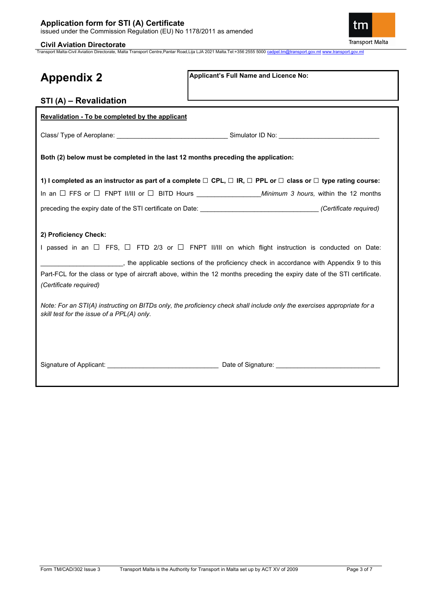

**Civil Aviation Directorate** Transport Malta-Civil Aviation Directorate, Malta Transport Centre,Pantar Road,Lija LJA 2021 Malta.Tel:+356 2555 5000 [cadpel.tm@transport.gov.mt](mailto:cadpel.tm@transport.gov.mt) [www.transport.gov.mt](http://www.transport.gov.mt/)

| <b>Appendix 2</b>                                                                             | Applicant's Full Name and Licence No:                                                                                                                                                                                                                                                                                                                                                                                                                                          |
|-----------------------------------------------------------------------------------------------|--------------------------------------------------------------------------------------------------------------------------------------------------------------------------------------------------------------------------------------------------------------------------------------------------------------------------------------------------------------------------------------------------------------------------------------------------------------------------------|
| STI (A) - Revalidation                                                                        |                                                                                                                                                                                                                                                                                                                                                                                                                                                                                |
| Revalidation - To be completed by the applicant                                               |                                                                                                                                                                                                                                                                                                                                                                                                                                                                                |
|                                                                                               |                                                                                                                                                                                                                                                                                                                                                                                                                                                                                |
| Both (2) below must be completed in the last 12 months preceding the application:             |                                                                                                                                                                                                                                                                                                                                                                                                                                                                                |
|                                                                                               | 1) I completed as an instructor as part of a complete $\Box$ CPL, $\Box$ IR, $\Box$ PPL or $\Box$ class or $\Box$ type rating course:                                                                                                                                                                                                                                                                                                                                          |
|                                                                                               |                                                                                                                                                                                                                                                                                                                                                                                                                                                                                |
|                                                                                               |                                                                                                                                                                                                                                                                                                                                                                                                                                                                                |
| 2) Proficiency Check:<br>(Certificate required)<br>skill test for the issue of a PPL(A) only. | I passed in an $\Box$ FFS, $\Box$ FTD 2/3 or $\Box$ FNPT II/III on which flight instruction is conducted on Date:<br>__________, the applicable sections of the proficiency check in accordance with Appendix 9 to this<br>Part-FCL for the class or type of aircraft above, within the 12 months preceding the expiry date of the STI certificate.<br>Note: For an STI(A) instructing on BITDs only, the proficiency check shall include only the exercises appropriate for a |
|                                                                                               |                                                                                                                                                                                                                                                                                                                                                                                                                                                                                |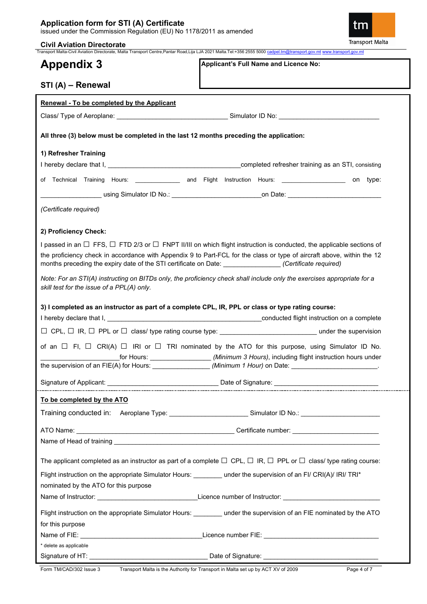### **Application form for STI (A) Certificate** issued under the Commission Regulation (EU) No 1178/2011 as amended

### **Civil Aviation Directorate**

ิเท **Transport Malta** 

Transport Malta-Civil Aviation Directorate, Malta Transport Centre,Pantar Road,Lija LJA 2021 Malta.Tel:+356 2555 5000 [cadpel.tm@transport.gov.mt](mailto:cadpel.tm@transport.gov.mt) [www.transport.gov.mt](http://www.transport.gov.mt/)

# **Appendix 3**

**Applicant's Full Name and Licence No:**

| STI (A) - Renewal                                                                                                                                                                                                                                                                                                                                                         |
|---------------------------------------------------------------------------------------------------------------------------------------------------------------------------------------------------------------------------------------------------------------------------------------------------------------------------------------------------------------------------|
| Renewal - To be completed by the Applicant                                                                                                                                                                                                                                                                                                                                |
|                                                                                                                                                                                                                                                                                                                                                                           |
| All three (3) below must be completed in the last 12 months preceding the application:                                                                                                                                                                                                                                                                                    |
| 1) Refresher Training                                                                                                                                                                                                                                                                                                                                                     |
|                                                                                                                                                                                                                                                                                                                                                                           |
| of Technical Training Hours: ______________ and Flight Instruction Hours: __________________ on type:                                                                                                                                                                                                                                                                     |
| __________ using Simulator ID No.: ____________________________on Date: ___________________________                                                                                                                                                                                                                                                                       |
| (Certificate required)                                                                                                                                                                                                                                                                                                                                                    |
| 2) Proficiency Check:                                                                                                                                                                                                                                                                                                                                                     |
| I passed in an $\Box$ FFS, $\Box$ FTD 2/3 or $\Box$ FNPT II/III on which flight instruction is conducted, the applicable sections of<br>the proficiency check in accordance with Appendix 9 to Part-FCL for the class or type of aircraft above, within the 12<br>months preceding the expiry date of the STI certificate on Date: ________________(Certificate required) |
| Note: For an STI(A) instructing on BITDs only, the proficiency check shall include only the exercises appropriate for a<br>skill test for the issue of a PPL(A) only.                                                                                                                                                                                                     |
| 3) I completed as an instructor as part of a complete CPL, IR, PPL or class or type rating course:                                                                                                                                                                                                                                                                        |
|                                                                                                                                                                                                                                                                                                                                                                           |
|                                                                                                                                                                                                                                                                                                                                                                           |
| of an $\Box$ FI, $\Box$ CRI(A) $\Box$ IRI or $\Box$ TRI nominated by the ATO for this purpose, using Simulator ID No.<br>_for Hours: _____________________(Minimum 3 Hours), including flight instruction hours under                                                                                                                                                     |
| the supervision of an FIE(A) for Hours: ___________________(Minimum 1 Hour) on Date: _________________________                                                                                                                                                                                                                                                            |
| Signature of Applicant: <u>Community Community Community Date of Signature:</u>                                                                                                                                                                                                                                                                                           |
| To be completed by the ATO                                                                                                                                                                                                                                                                                                                                                |
| Training conducted in: Aeroplane Type: _______________________Simulator ID No.: ____________________                                                                                                                                                                                                                                                                      |
|                                                                                                                                                                                                                                                                                                                                                                           |
|                                                                                                                                                                                                                                                                                                                                                                           |
|                                                                                                                                                                                                                                                                                                                                                                           |
| The applicant completed as an instructor as part of a complete $\Box$ CPL, $\Box$ IR, $\Box$ PPL or $\Box$ class/ type rating course:                                                                                                                                                                                                                                     |
| Flight instruction on the appropriate Simulator Hours: _______ under the supervision of an FI/ CRI(A)/ IRI/ TRI*                                                                                                                                                                                                                                                          |
| nominated by the ATO for this purpose                                                                                                                                                                                                                                                                                                                                     |
|                                                                                                                                                                                                                                                                                                                                                                           |
| Flight instruction on the appropriate Simulator Hours: _______ under the supervision of an FIE nominated by the ATO<br>for this purpose                                                                                                                                                                                                                                   |
|                                                                                                                                                                                                                                                                                                                                                                           |
| * delete as applicable                                                                                                                                                                                                                                                                                                                                                    |
|                                                                                                                                                                                                                                                                                                                                                                           |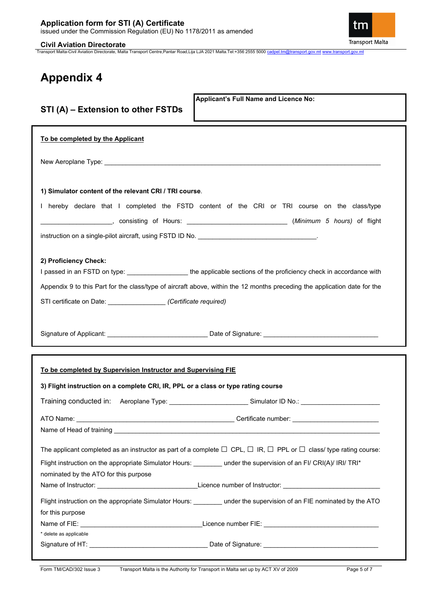**Civil Aviation Directorate**

tm **Transport Malta** 

Transport Malta-Civil Aviation Directorate, Malta Transport Centre,Pantar Road,Lija LJA 2021 Malta.Tel:+356 2555 5000 [cadpel.tm@transport.gov.mt](mailto:cadpel.tm@transport.gov.mt) [www.transport.gov.mt](http://www.transport.gov.mt/)

# **Appendix 4**

| Applicant's Full Name and Licence No:<br>STI (A) - Extension to other FSTDs                                                                   |
|-----------------------------------------------------------------------------------------------------------------------------------------------|
| To be completed by the Applicant                                                                                                              |
|                                                                                                                                               |
| 1) Simulator content of the relevant CRI / TRI course.                                                                                        |
| I hereby declare that I completed the FSTD content of the CRI or TRI course on the class/type                                                 |
| _____________________,consisting of Hours: ___________________________________( <i>Minimum</i> 5 <i>hours)</i> of flight                      |
| 2) Proficiency Check:<br>I passed in an FSTD on type: ____________________the applicable sections of the proficiency check in accordance with |
| Appendix 9 to this Part for the class/type of aircraft above, within the 12 months preceding the application date for the                     |
| STI certificate on Date: ______________________ (Certificate required)                                                                        |
| Signature of Applicant: ___________________________________Date of Signature: ________________________________                                |
| To be completed by Supervision Instructor and Supervising FIE                                                                                 |
| 3) Flight instruction on a complete CRI, IR, PPL or a class or type rating course                                                             |
| Training conducted in: Aeroplane Type: Same Construction of Simulator ID No.: Construction of Simulator ID No.:                               |
| ATO Name:                                                                                                                                     |
|                                                                                                                                               |
| The applicant completed as an instructor as part of a complete $\Box$ CPL, $\Box$ IR, $\Box$ PPL or $\Box$ class/ type rating course:         |
| Flight instruction on the appropriate Simulator Hours: _______ under the supervision of an FI/ CRI(A)/ IRI/ TRI*                              |
| nominated by the ATO for this purpose                                                                                                         |
|                                                                                                                                               |
| Flight instruction on the appropriate Simulator Hours: ________ under the supervision of an FIE nominated by the ATO                          |
| for this purpose                                                                                                                              |
| * delete as applicable                                                                                                                        |
|                                                                                                                                               |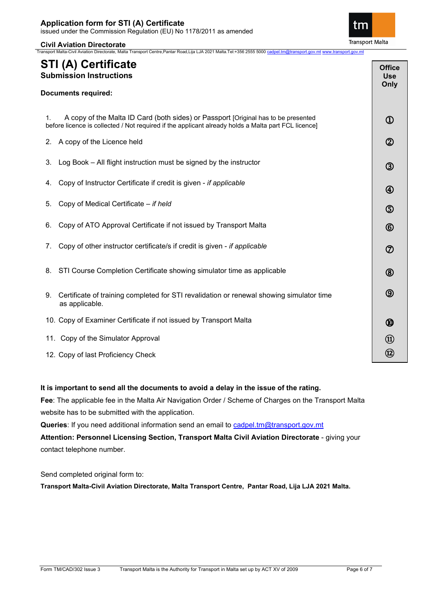**Civil Aviation Directorate** Transport Malta-Civil Aviation Directorate, Malta Transport Centre,Pantar Road,Lija LJA 2021 Malta.Tel:+356 2555 5000 [cadpel.tm@transport.gov.mt](mailto:cadpel.tm@transport.gov.mt) ww

## **STI (A) Certificate Submission Instructions**

| Documents required: |  |  |
|---------------------|--|--|
|                     |  |  |

| A copy of the Malta ID Card (both sides) or Passport [Original has to be presented                  |
|-----------------------------------------------------------------------------------------------------|
| before licence is collected / Not required if the applicant already holds a Malta part FCL licence] |

- 2. A copy of the Licence held
- 3. Log Book All flight instruction must be signed by the instructor
- 4. Copy of Instructor Certificate if credit is given *if applicable*
- 5. Copy of Medical Certificate *if held*
- 6. Copy of ATO Approval Certificate if not issued by Transport Malta
- 7. Copy of other instructor certificate/s if credit is given *if applicable*
- 8. STI Course Completion Certificate showing simulator time as applicable
- 9. Certificate of training completed for STI revalidation or renewal showing simulator time as applicable.
- 10. Copy of Examiner Certificate if not issued by Transport Malta
- 11. Copy of the Simulator Approval
- 12. Copy of last Proficiency Check

### **It is important to send all the documents to avoid a delay in the issue of the rating.**

**Fee**: The applicable fee in the Malta Air Navigation Order / Scheme of Charges on the Transport Malta website has to be submitted with the application.

**Queries**: If you need additional information send an email to [cadpel.tm@transport.gov.mt](mailto:cadpel.tm@transport.gov.mt) 

**Attention: Personnel Licensing Section, Transport Malta Civil Aviation Directorate** - giving your contact telephone number.

Send completed original form to:

**Transport Malta-Civil Aviation Directorate, Malta Transport Centre, Pantar Road, Lija LJA 2021 Malta.**



**Office Use Only**

 $\mathbf 0$ 

 $\circledZ$ 

 $\circled{3}$ 

 $^{\circledR}$ 

**ො** 

 $\circled6$ 

 $\circledD$ 

 $\circledR$ 

 $\circledS$ 

 $^{\circledR}$ 

⑪ ⑫ ֺ֝